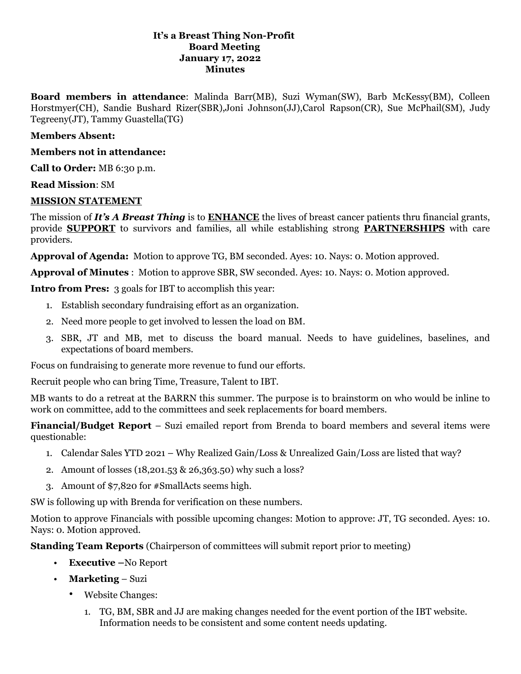#### **It's a Breast Thing Non-Profit Board Meeting January 17, 2022 Minutes**

**Board members in attendance**: Malinda Barr(MB), Suzi Wyman(SW), Barb McKessy(BM), Colleen Horstmyer(CH), Sandie Bushard Rizer(SBR),Joni Johnson(JJ),Carol Rapson(CR), Sue McPhail(SM), Judy Tegreeny(JT), Tammy Guastella(TG)

#### **Members Absent:**

**Members not in attendance:** 

**Call to Order:** MB 6:30 p.m.

**Read Mission**: SM

#### **MISSION STATEMENT**

The mission of *It's A Breast Thing* is to **ENHANCE** the lives of breast cancer patients thru financial grants, provide **SUPPORT** to survivors and families, all while establishing strong **PARTNERSHIPS** with care providers.

**Approval of Agenda:** Motion to approve TG, BM seconded. Ayes: 10. Nays: 0. Motion approved.

**Approval of Minutes** : Motion to approve SBR, SW seconded. Ayes: 10. Nays: 0. Motion approved.

**Intro from Pres:** 3 goals for IBT to accomplish this year:

- 1. Establish secondary fundraising effort as an organization.
- 2. Need more people to get involved to lessen the load on BM.
- 3. SBR, JT and MB, met to discuss the board manual. Needs to have guidelines, baselines, and expectations of board members.

Focus on fundraising to generate more revenue to fund our efforts.

Recruit people who can bring Time, Treasure, Talent to IBT.

MB wants to do a retreat at the BARRN this summer. The purpose is to brainstorm on who would be inline to work on committee, add to the committees and seek replacements for board members.

**Financial/Budget Report** – Suzi emailed report from Brenda to board members and several items were questionable:

- 1. Calendar Sales YTD 2021 Why Realized Gain/Loss & Unrealized Gain/Loss are listed that way?
- 2. Amount of losses (18,201.53 & 26,363.50) why such a loss?
- 3. Amount of \$7,820 for #SmallActs seems high.

SW is following up with Brenda for verification on these numbers.

Motion to approve Financials with possible upcoming changes: Motion to approve: JT, TG seconded. Ayes: 10. Nays: 0. Motion approved.

**Standing Team Reports** (Chairperson of committees will submit report prior to meeting)

- **Executive –**No Report
- **Marketing** Suzi
	- Website Changes:
		- 1. TG, BM, SBR and JJ are making changes needed for the event portion of the IBT website. Information needs to be consistent and some content needs updating.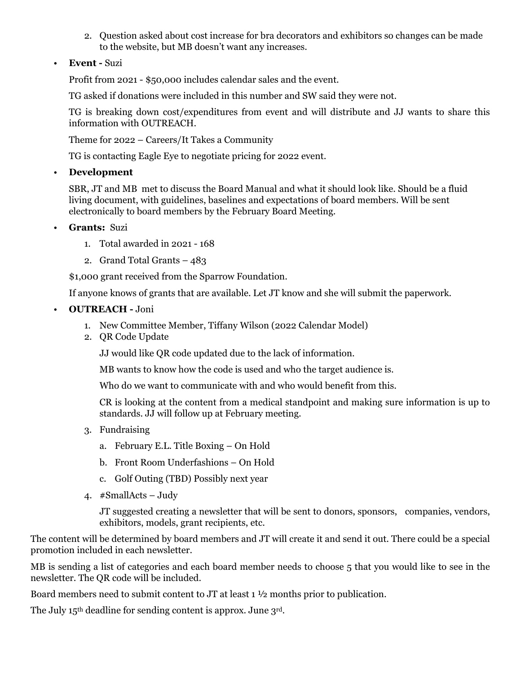2. Question asked about cost increase for bra decorators and exhibitors so changes can be made to the website, but MB doesn't want any increases.

## • **Event -** Suzi

Profit from 2021 - \$50,000 includes calendar sales and the event.

TG asked if donations were included in this number and SW said they were not.

TG is breaking down cost/expenditures from event and will distribute and JJ wants to share this information with OUTREACH.

Theme for 2022 – Careers/It Takes a Community

TG is contacting Eagle Eye to negotiate pricing for 2022 event.

## • **Development**

SBR, JT and MB met to discuss the Board Manual and what it should look like. Should be a fluid living document, with guidelines, baselines and expectations of board members. Will be sent electronically to board members by the February Board Meeting.

### • **Grants:** Suzi

- 1. Total awarded in 2021 168
- 2. Grand Total Grants 483

\$1,000 grant received from the Sparrow Foundation.

If anyone knows of grants that are available. Let JT know and she will submit the paperwork.

# • **OUTREACH -** Joni

- 1. New Committee Member, Tiffany Wilson (2022 Calendar Model)
- 2. QR Code Update

JJ would like QR code updated due to the lack of information.

MB wants to know how the code is used and who the target audience is.

Who do we want to communicate with and who would benefit from this.

CR is looking at the content from a medical standpoint and making sure information is up to standards. JJ will follow up at February meeting.

- 3. Fundraising
	- a. February E.L. Title Boxing On Hold
	- b. Front Room Underfashions On Hold
	- c. Golf Outing (TBD) Possibly next year
- 4. #SmallActs Judy

JT suggested creating a newsletter that will be sent to donors, sponsors, companies, vendors, exhibitors, models, grant recipients, etc.

The content will be determined by board members and JT will create it and send it out. There could be a special promotion included in each newsletter.

MB is sending a list of categories and each board member needs to choose 5 that you would like to see in the newsletter. The QR code will be included.

Board members need to submit content to JT at least 1 ½ months prior to publication.

The July 15<sup>th</sup> deadline for sending content is approx. June 3<sup>rd</sup>.